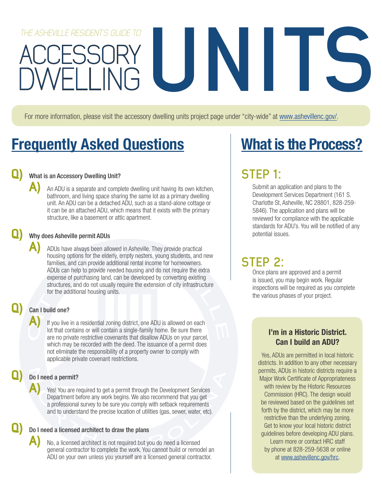# ACCESSORY THE ASHEVILLE RESIDENTS GUIDE TO **ACCESSORY**

For more information, please visit the accessory dwelling units project page under "city-wide" at www.ashevillenc.gov/.

# Frequently Asked Questions

## **Q)** What is an Accessory Dwelling Unit?

**A)** An ADU is a separate and complete dwelling unit having its own kitchen, bathroom, and living space sharing the same lot as a primary dwelling unit. An ADU can be a detached ADU, such as a stand-alone cottage or it can be an attached ADU, which means that it exists with the primary structure, like a basement or attic apartment.

### **Q)** Why does Asheville permit ADUs

**A)** ADUs have always been allowed in Asheville. They provide practical housing options for the elderly, empty nesters, young students, and new families, and can provide additional rental income for homeowners. ADUs can help to provide needed housing and do not require the extra expense of purchasing land, can be developed by converting existing structures, and do not usually require the extension of city infrastructure for the additional housing units.

## **Q)** Can I build one?

**A)** If you live in a residential zoning district, one ADU is allowed on each lot that contains or will contain a single-family home. Be sure there are no private restrictive covenants that disallow ADUs on your parcel, which may be recorded with the deed. The issuance of a permit does not eliminate the responsibility of a property owner to comply with applicable private covenant restrictions.

## **Q)** Do I need a permit?

**A)** Yes! You are required to get a permit through the Development Services Department before any work begins. We also recommend that you get a professional survey to be sure you comply with setback requirements and to understand the precise location of utilities (gas, sewer, water, etc).

#### **Q)** Do I need a licensed architect to draw the plans

**A)** No, a licensed architect is not required but you do need a licensed general contractor to complete the work. You cannot build or remodel an ADU on your own unless you yourself are a licensed general contractor.

# What is the Process?

## **STEP 1:**

Submit an application and plans to the Development Services Department (161 S. Charlotte St, Asheville, NC 28801, 828-259- 5846). The application and plans will be reviewed for compliance with the applicable standards for ADU's. You will be notified of any potential issues.

## **STEP 2:**

Once plans are approved and a permit is issued, you may begin work. Regular inspections will be required as you complete the various phases of your project.

## I'm in a Historic District. Can I build an ADU?

Yes, ADUs are permitted in local historic districts. In addition to any other necessary permits, ADUs in historic districts require a Major Work Certificate of Appropriateness with review by the Historic Resources Commission (HRC). The design would be reviewed based on the guidelines set forth by the district, which may be more restrictive than the underlying zoning. Get to know your local historic district guidelines before developing ADU plans. Learn more or contact HRC staff by phone at 828-259-5638 or online at www.ashevillenc.gov/hrc.